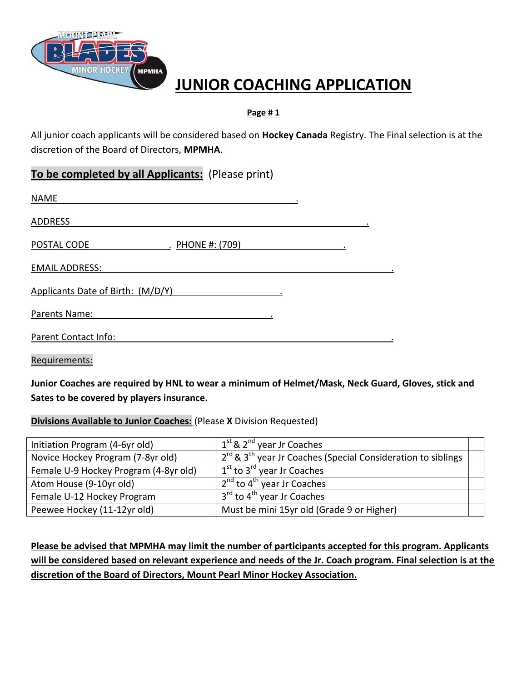

# **JUNIOR COACHING APPLICATION**

#### **Page # 1**

All junior coach applicants will be considered based on **Hockey Canada** Registry. The Final selection is at the discretion of the Board of Directors, **MPMHA**.

# **To be completed by all Applicants:** (Please print)

| <b>NAME</b>                       |  |
|-----------------------------------|--|
| <b>ADDRESS</b>                    |  |
| . PHONE #: (709)<br>POSTAL CODE   |  |
| <b>EMAIL ADDRESS:</b>             |  |
| Applicants Date of Birth: (M/D/Y) |  |
| Parents Name:                     |  |
| Parent Contact Info:              |  |

Requirements:

**Junior Coaches are required by HNL to wear a minimum of Helmet/Mask, Neck Guard, Gloves, stick and Sates to be covered by players insurance.**

#### **Divisions Available to Junior Coaches:** (Please **X** Division Requested)

| Initiation Program (4-6yr old)        | $1st$ & $2nd$ year Jr Coaches                                          |  |
|---------------------------------------|------------------------------------------------------------------------|--|
| Novice Hockey Program (7-8yr old)     | $2^{rd}$ & $3^{th}$ year Jr Coaches (Special Consideration to siblings |  |
| Female U-9 Hockey Program (4-8yr old) | $1st$ to $3rd$ year Jr Coaches                                         |  |
| Atom House (9-10yr old)               | $\sqrt{2^{nd}}$ to 4 <sup>th</sup> year Jr Coaches                     |  |
| Female U-12 Hockey Program            | 3 <sup>rd</sup> to 4 <sup>th</sup> year Jr Coaches                     |  |
| Peewee Hockey (11-12yr old)           | Must be mini 15yr old (Grade 9 or Higher)                              |  |
|                                       |                                                                        |  |

**Please be advised that MPMHA may limit the number of participants accepted for this program. Applicants will be considered based on relevant experience and needs of the Jr. Coach program. Final selection is at the discretion of the Board of Directors, Mount Pearl Minor Hockey Association.**